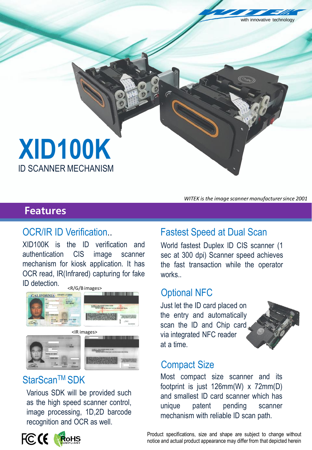**XID100K**

ID SCANNER MECHANISM

### **Features**

XID100K is the ID verification and authentication CIS image scanner mechanism for kiosk application. It has OCR read, IR(Infrared) capturing for fake ID detection.



## StarScan™ SDK

Various SDK will be provided such as the high speed scanner control, image processing, 1D,2D barcode recognition and OCR as well.



*WITEK is the image scanner manufacturer since 2001* 

innovative technology

# OCR/IR ID Verification.. Fastest Speed at Dual Scan

World fastest Duplex ID CIS scanner (1 sec at 300 dpi) Scanner speed achieves the fast transaction while the operator works

### Optional NFC

Just let the ID card placed on the entry and automatically scan the ID and Chip card via integrated NFC reader at a time.



## Compact Size

mechanism with reliable ID scan path. Most compact size scanner and its footprint is just 126mm(W) x 72mm(D) and smallest ID card scanner which has unique patent pending scanner

**Rear view of the Caming Caming Terminal Caming Terminal Caming Terminal Caming Terminal Caming Terminal Product specifications, size and shape are subject to change without** notice and actual product appearance may differ from that depicted herein